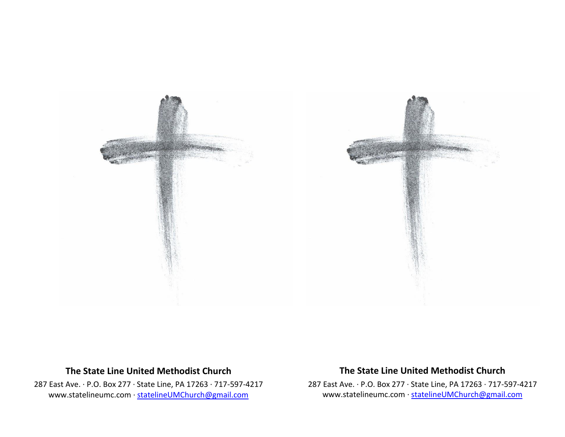

## **The State Line United Methodist Church**

287 East Ave. · P.O. Box 277 · State Line, PA 17263 · 717-597-4217 [www.statelineumc.com](http://www.statelineumc.com/) · [statelineUMChurch@gmail.com](mailto:statelineUMChurch@gmail.com)

## **The State Line United Methodist Church**

287 East Ave. · P.O. Box 277 · State Line, PA 17263 · 717-597-4217 [www.statelineumc.com](http://www.statelineumc.com/) · [statelineUMChurch@gmail.com](mailto:statelineUMChurch@gmail.com)